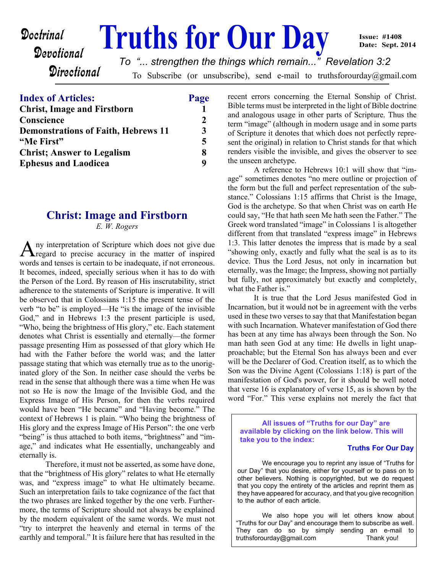#### **Doctrinal** Truths for Our Day Devotional **Directional** To Subscribe (or unsubscribe), send e-mail to truthsforourday@gmail.com **Issue: #1408 Date: Sept. 2014** *To "... strengthen the things which remain..." Revelation 3:2*

| <b>Index of Articles:</b>                        | Page         |
|--------------------------------------------------|--------------|
| <b>Christ, Image and Firstborn</b><br>Conscience | $\mathbf{2}$ |
|                                                  |              |
| "Me First"                                       | 5            |
| <b>Christ</b> ; Answer to Legalism               | 8            |
| <b>Ephesus and Laodicea</b>                      | Q            |

## **Christ: Image and Firstborn**

*E. W. Rogers*

A ny interpretation of Scripture which does not give due<br>
regard to precise accuracy in the matter of inspired ny interpretation of Scripture which does not give due words and tenses is certain to be inadequate, if not erroneous. It becomes, indeed, specially serious when it has to do with the Person of the Lord. By reason of His inscrutability, strict adherence to the statements of Scripture is imperative. It will be observed that in Colossians 1:15 the present tense of the verb "to be" is employed—He "is the image of the invisible God," and in Hebrews 1:3 the present participle is used, "Who, being the brightness of His glory," etc. Each statement denotes what Christ is essentially and eternally—the former passage presenting Him as possessed of that glory which He had with the Father before the world was; and the latter passage stating that which was eternally true as to the unoriginated glory of the Son. In neither case should the verbs be read in the sense that although there was a time when He was not so He is now the Image of the Invisible God, and the Express Image of His Person, for then the verbs required would have been "He became" and "Having become." The context of Hebrews 1 is plain. "Who being the brightness of His glory and the express Image of His Person": the one verb "being" is thus attached to both items, "brightness" and "image," and indicates what He essentially, unchangeably and eternally is.

 Therefore, it must not be asserted, as some have done, that the "brightness of His glory" relates to what He eternally was, and "express image" to what He ultimately became. Such an interpretation fails to take cognizance of the fact that the two phrases are linked together by the one verb. Furthermore, the terms of Scripture should not always be explained by the modern equivalent of the same words. We must not "try to interpret the heavenly and eternal in terms of the earthly and temporal." It is failure here that has resulted in the recent errors concerning the Eternal Sonship of Christ. Bible terms must be interpreted in the light of Bible doctrine and analogous usage in other parts of Scripture. Thus the term "image" (although in modern usage and in some parts of Scripture it denotes that which does not perfectly represent the original) in relation to Christ stands for that which renders visible the invisible, and gives the observer to see the unseen archetype.

 A reference to Hebrews 10:1 will show that "image" sometimes denotes "no mere outline or projection of the form but the full and perfect representation of the substance." Colossians 1:15 affirms that Christ is the Image, God is the archetype. So that when Christ was on earth He could say, "He that hath seen Me hath seen the Father." The Greek word translated "image" in Colossians 1 is altogether different from that translated "express image" in Hebrews 1:3. This latter denotes the impress that is made by a seal "showing only, exactly and fully what the seal is as to its device. Thus the Lord Jesus, not only in incarnation but eternally, was the Image; the Impress, showing not partially but fully, not approximately but exactly and completely, what the Father is."

 It is true that the Lord Jesus manifested God in Incarnation, but it would not be in agreement with the verbs used in these two verses to say that that Manifestation began with such Incarnation. Whatever manifestation of God there has been at any time has always been through the Son. No man hath seen God at any time: He dwells in light unapproachable; but the Eternal Son has always been and ever will be the Declarer of God. Creation itself, as to which the Son was the Divine Agent (Colossians 1:18) is part of the manifestation of God's power, for it should be well noted that verse 16 is explanatory of verse 15, as is shown by the word "For." This verse explains not merely the fact that

**All issues of "Truths for our Day" are available by clicking on the link below. This will take you to the index:**

#### **Truths For Our Day**

 We encourage you to reprint any issue of "Truths for our Day" that you desire, either for yourself or to pass on to other believers. Nothing is copyrighted, but we do request that you copy the entirety of the articles and reprint them as they have appeared for accuracy, and that you give recognition to the author of each article.

 We also hope you will let others know about "Truths for our Day" and encourage them to subscribe as well. They can do so by simply sending an e-mail to truthsforourday@gmail.com Thank you!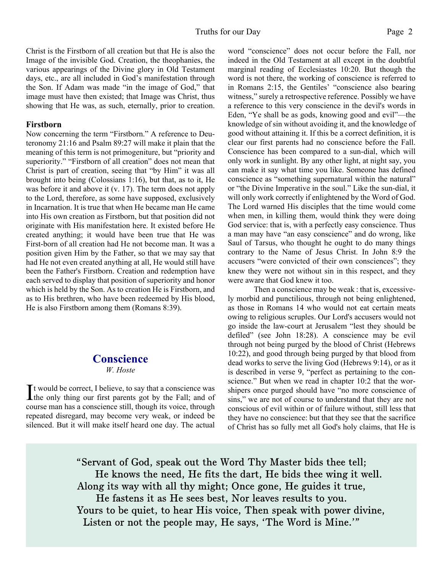Christ is the Firstborn of all creation but that He is also the Image of the invisible God. Creation, the theophanies, the various appearings of the Divine glory in Old Testament days, etc., are all included in God's manifestation through the Son. If Adam was made "in the image of God," that image must have then existed; that Image was Christ, thus showing that He was, as such, eternally, prior to creation.

### **Firstborn**

Now concerning the term "Firstborn." A reference to Deuteronomy 21:16 and Psalm 89:27 will make it plain that the meaning of this term is not primogeniture, but "priority and superiority." "Firstborn of all creation" does not mean that Christ is part of creation, seeing that "by Him" it was all brought into being (Colossians 1:16), but that, as to it, He was before it and above it (v. 17). The term does not apply to the Lord, therefore, as some have supposed, exclusively in Incarnation. It is true that when He became man He came into His own creation as Firstborn, but that position did not originate with His manifestation here. It existed before He created anything; it would have been true that He was First-born of all creation had He not become man. It was a position given Him by the Father, so that we may say that had He not even created anything at all, He would still have been the Father's Firstborn. Creation and redemption have each served to display that position of superiority and honor which is held by the Son. As to creation He is Firstborn, and as to His brethren, who have been redeemed by His blood, He is also Firstborn among them (Romans 8:39).

## **Conscience**

### *W. Hoste*

It would be correct, I believe, to say that a conscience was<br>the only thing our first parents got by the Fall; and of  $\mathbf{\mathsf{T}}$ t would be correct, I believe, to say that a conscience was course man has a conscience still, though its voice, through repeated disregard, may become very weak, or indeed be silenced. But it will make itself heard one day. The actual word "conscience" does not occur before the Fall, nor indeed in the Old Testament at all except in the doubtful marginal reading of Ecclesiastes 10:20. But though the word is not there, the working of conscience is referred to in Romans 2:15, the Gentiles' "conscience also bearing witness," surely a retrospective reference. Possibly we have a reference to this very conscience in the devil's words in Eden, "Ye shall be as gods, knowing good and evil"—the knowledge of sin without avoiding it, and the knowledge of good without attaining it. If this be a correct definition, it is clear our first parents had no conscience before the Fall. Conscience has been compared to a sun-dial, which will only work in sunlight. By any other light, at night say, you can make it say what time you like. Someone has defined conscience as "something supernatural within the natural" or "the Divine Imperative in the soul." Like the sun-dial, it will only work correctly if enlightened by the Word of God. The Lord warned His disciples that the time would come when men, in killing them, would think they were doing God service: that is, with a perfectly easy conscience. Thus a man may have "an easy conscience" and do wrong, like Saul of Tarsus, who thought he ought to do many things contrary to the Name of Jesus Christ. In John 8:9 the accusers "were convicted of their own consciences"; they knew they were not without sin in this respect, and they were aware that God knew it too.

 Then a conscience may be weak : that is, excessively morbid and punctilious, through not being enlightened, as those in Romans 14 who would not eat certain meats owing to religious scruples. Our Lord's accusers would not go inside the law-court at Jerusalem "lest they should be defiled" (see John 18:28). A conscience may be evil through not being purged by the blood of Christ (Hebrews 10:22), and good through being purged by that blood from dead works to serve the living God (Hebrews 9:14), or as it is described in verse 9, "perfect as pertaining to the conscience." But when we read in chapter 10:2 that the worshipers once purged should have "no more conscience of sins," we are not of course to understand that they are not conscious of evil within or of failure without, still less that they have no conscience: but that they see that the sacrifice of Christ has so fully met all God's holy claims, that He is

"Servant of God, speak out the Word Thy Master bids thee tell; He knows the need, He fits the dart, He bids thee wing it well. Along its way with all thy might; Once gone, He guides it true, He fastens it as He sees best, Nor leaves results to you. Yours to be quiet, to hear His voice, Then speak with power divine, Listen or not the people may, He says, 'The Word is Mine.'"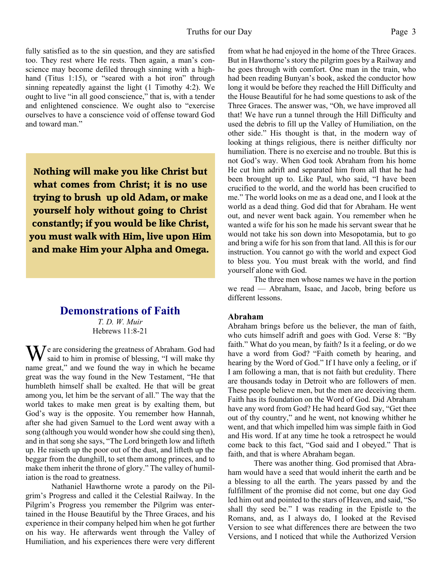fully satisfied as to the sin question, and they are satisfied too. They rest where He rests. Then again, a man's conscience may become defiled through sinning with a highhand (Titus 1:15), or "seared with a hot iron" through sinning repeatedly against the light (1 Timothy 4:2). We ought to live "in all good conscience," that is, with a tender and enlightened conscience. We ought also to "exercise ourselves to have a conscience void of offense toward God and toward man."

**Nothing will make you like Christ but what comes from Christ; it is no use trying to brush up old Adam, or make yourself holy without going to Christ constantly; if you would be like Christ, you must walk with Him, live upon Him and make Him your Alpha and Omega.**

## **Demonstrations of Faith**

*T. D. W. Muir* Hebrews 11:8-21

 $\sum$   $\sum$   $\sum$  are considering the greatness of Abraham. God had said to him in promise of blessing, "I will make thy name great," and we found the way in which he became great was the way found in the New Testament, "He that humbleth himself shall be exalted. He that will be great among you, let him be the servant of all." The way that the world takes to make men great is by exalting them, but God's way is the opposite. You remember how Hannah, after she had given Samuel to the Lord went away with a song (although you would wonder how she could sing then), and in that song she says, "The Lord bringeth low and lifteth up. He raiseth up the poor out of the dust, and lifteth up the beggar from the dunghill, to set them among princes, and to make them inherit the throne of glory." The valley of humiliation is the road to greatness.

 Nathaniel Hawthorne wrote a parody on the Pilgrim's Progress and called it the Celestial Railway. In the Pilgrim's Progress you remember the Pilgrim was entertained in the House Beautiful by the Three Graces, and his experience in their company helped him when he got further on his way. He afterwards went through the Valley of Humiliation, and his experiences there were very different from what he had enjoyed in the home of the Three Graces. But in Hawthorne's story the pilgrim goes by a Railway and he goes through with comfort. One man in the train, who had been reading Bunyan's book, asked the conductor how long it would be before they reached the Hill Difficulty and the House Beautiful for he had some questions to ask of the Three Graces. The answer was, "Oh, we have improved all that! We have run a tunnel through the Hill Difficulty and used the debris to fill up the Valley of Humiliation, on the other side." His thought is that, in the modern way of looking at things religious, there is neither difficulty nor humiliation. There is no exercise and no trouble. But this is not God's way. When God took Abraham from his home He cut him adrift and separated him from all that he had been brought up to. Like Paul, who said, "I have been crucified to the world, and the world has been crucified to me." The world looks on me as a dead one, and I look at the world as a dead thing. God did that for Abraham. He went out, and never went back again. You remember when he wanted a wife for his son he made his servant swear that he would not take his son down into Mesopotamia, but to go and bring a wife for his son from that land. All this is for our instruction. You cannot go with the world and expect God to bless you. You must break with the world, and find yourself alone with God.

 The three men whose names we have in the portion we read — Abraham, Isaac, and Jacob, bring before us different lessons.

### **Abraham**

Abraham brings before us the believer, the man of faith, who cuts himself adrift and goes with God. Verse 8: "By faith." What do you mean, by faith? Is it a feeling, or do we have a word from God? "Faith cometh by hearing, and hearing by the Word of God." If I have only a feeling, or if I am following a man, that is not faith but credulity. There are thousands today in Detroit who are followers of men. These people believe men, but the men are deceiving them. Faith has its foundation on the Word of God. Did Abraham have any word from God? He had heard God say, "Get thee out of thy country," and he went, not knowing whither he went, and that which impelled him was simple faith in God and His word. If at any time he took a retrospect he would come back to this fact, "God said and I obeyed." That is faith, and that is where Abraham began.

 There was another thing. God promised that Abraham would have a seed that would inherit the earth and be a blessing to all the earth. The years passed by and the fulfillment of the promise did not come, but one day God led him out and pointed to the stars of Heaven, and said, "So shall thy seed be." I was reading in the Epistle to the Romans, and, as I always do, I looked at the Revised Version to see what differences there are between the two Versions, and I noticed that while the Authorized Version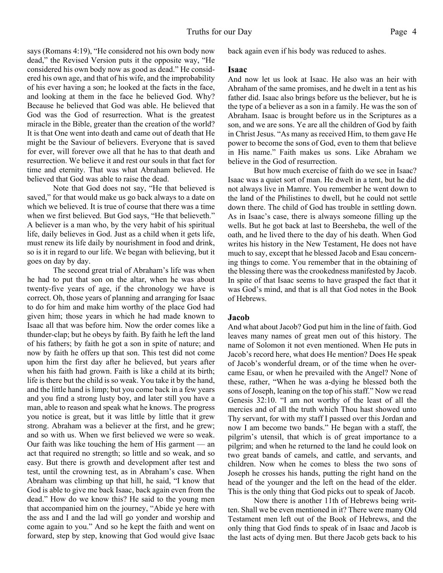says (Romans 4:19), "He considered not his own body now dead," the Revised Version puts it the opposite way, "He considered his own body now as good as dead." He considered his own age, and that of his wife, and the improbability of his ever having a son; he looked at the facts in the face, and looking at them in the face he believed God. Why? Because he believed that God was able. He believed that God was the God of resurrection. What is the greatest miracle in the Bible, greater than the creation of the world? It is that One went into death and came out of death that He might be the Saviour of believers. Everyone that is saved for ever, will forever owe all that he has to that death and resurrection. We believe it and rest our souls in that fact for time and eternity. That was what Abraham believed. He believed that God was able to raise the dead.

 Note that God does not say, "He that believed is saved," for that would make us go back always to a date on which we believed. It is true of course that there was a time when we first believed. But God says, "He that believeth." A believer is a man who, by the very habit of his spiritual life, daily believes in God. Just as a child when it gets life, must renew its life daily by nourishment in food and drink, so is it in regard to our life. We began with believing, but it goes on day by day.

 The second great trial of Abraham's life was when he had to put that son on the altar, when he was about twenty-five years of age, if the chronology we have is correct. Oh, those years of planning and arranging for Isaac to do for him and make him worthy of the place God had given him; those years in which he had made known to Isaac all that was before him. Now the order comes like a thunder-clap; but he obeys by faith. By faith he left the land of his fathers; by faith he got a son in spite of nature; and now by faith he offers up that son. This test did not come upon him the first day after he believed, but years after when his faith had grown. Faith is like a child at its birth; life is there but the child is so weak. You take it by the hand, and the little hand is limp; but you come back in a few years and you find a strong lusty boy, and later still you have a man, able to reason and speak what he knows. The progress you notice is great, but it was little by little that it grew strong. Abraham was a believer at the first, and he grew; and so with us. When we first believed we were so weak. Our faith was like touching the hem of His garment — an act that required no strength; so little and so weak, and so easy. But there is growth and development after test and test, until the crowning test, as in Abraham's case. When Abraham was climbing up that hill, he said, "I know that God is able to give me back Isaac, back again even from the dead." How do we know this? He said to the young men that accompanied him on the journey, "Abide ye here with the ass and I and the lad will go yonder and worship and come again to you." And so he kept the faith and went on forward, step by step, knowing that God would give Isaac back again even if his body was reduced to ashes.

### **Isaac**

And now let us look at Isaac. He also was an heir with Abraham of the same promises, and he dwelt in a tent as his father did. Isaac also brings before us the believer, but he is the type of a believer as a son in a family. He was the son of Abraham. Isaac is brought before us in the Scriptures as a son, and we are sons. Ye are all the children of God by faith in Christ Jesus. "As many as received Him, to them gave He power to become the sons of God, even to them that believe in His name." Faith makes us sons. Like Abraham we believe in the God of resurrection.

 But how much exercise of faith do we see in Isaac? Isaac was a quiet sort of man. He dwelt in a tent, but he did not always live in Mamre. You remember he went down to the land of the Philistines to dwell, but he could not settle down there. The child of God has trouble in settling down. As in Isaac's case, there is always someone filling up the wells. But he got back at last to Beersheba, the well of the oath, and he lived there to the day of his death. When God writes his history in the New Testament, He does not have much to say, except that he blessed Jacob and Esau concerning things to come. You remember that in the obtaining of the blessing there was the crookedness manifested by Jacob. In spite of that Isaac seems to have grasped the fact that it was God's mind, and that is all that God notes in the Book of Hebrews.

### **Jacob**

And what about Jacob? God put him in the line of faith. God leaves many names of great men out of this history. The name of Solomon it not even mentioned. When He puts in Jacob's record here, what does He mention? Does He speak of Jacob's wonderful dream, or of the time when he overcame Esau, or when he prevailed with the Angel? None of these, rather, "When he was a-dying he blessed both the sons of Joseph, leaning on the top of his staff." Now we read Genesis 32:10. "I am not worthy of the least of all the mercies and of all the truth which Thou hast showed unto Thy servant, for with my staff I passed over this Jordan and now I am become two bands." He began with a staff, the pilgrim's utensil, that which is of great importance to a pilgrim; and when he returned to the land he could look on two great bands of camels, and cattle, and servants, and children. Now when he comes to bless the two sons of Joseph he crosses his hands, putting the right hand on the head of the younger and the left on the head of the elder. This is the only thing that God picks out to speak of Jacob.

 Now there is another 11th of Hebrews being written. Shall we be even mentioned in it? There were many Old Testament men left out of the Book of Hebrews, and the only thing that God finds to speak of in Isaac and Jacob is the last acts of dying men. But there Jacob gets back to his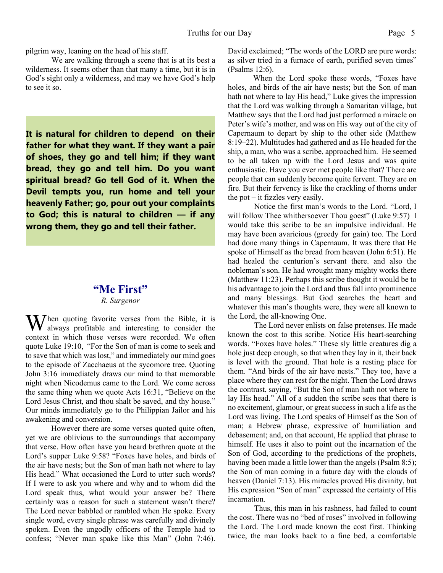pilgrim way, leaning on the head of his staff.

 We are walking through a scene that is at its best a wilderness. It seems other than that many a time, but it is in God's sight only a wilderness, and may we have God's help to see it so.

**It is natural for children to depend on their father for what they want. If they want a pair of shoes, they go and tell him; if they want bread, they go and tell him. Do you want spiritual bread? Go tell God of it. When the Devil tempts you, run home and tell your heavenly Father; go, pour out your complaints to God; this is natural to children — if any wrong them, they go and tell their father.**

## **"Me First"**

*R. Surgenor*

 $M$ hen quoting favorite verses from the Bible, it is always profitable and interesting to consider the context in which those verses were recorded. We often quote Luke 19:10, "For the Son of man is come to seek and to save that which was lost," and immediately our mind goes to the episode of Zacchaeus at the sycomore tree. Quoting John 3:16 immediately draws our mind to that memorable night when Nicodemus came to the Lord. We come across the same thing when we quote Acts 16:31, "Believe on the Lord Jesus Christ, and thou shalt be saved, and thy house." Our minds immediately go to the Philippian Jailor and his awakening and conversion.

However there are some verses quoted quite often, yet we are oblivious to the surroundings that accompany that verse. How often have you heard brethren quote at the Lord's supper Luke 9:58? "Foxes have holes, and birds of the air have nests; but the Son of man hath not where to lay His head." What occasioned the Lord to utter such words? If I were to ask you where and why and to whom did the Lord speak thus, what would your answer be? There certainly was a reason for such a statement wasn't there? The Lord never babbled or rambled when He spoke. Every single word, every single phrase was carefully and divinely spoken. Even the ungodly officers of the Temple had to confess; "Never man spake like this Man" (John 7:46). David exclaimed; "The words of the LORD are pure words: as silver tried in a furnace of earth, purified seven times" (Psalms 12:6).

When the Lord spoke these words, "Foxes have holes, and birds of the air have nests; but the Son of man hath not where to lay His head," Luke gives the impression that the Lord was walking through a Samaritan village, but Matthew says that the Lord had just performed a miracle on Peter's wife's mother, and was on His way out of the city of Capernaum to depart by ship to the other side (Matthew 8:19–22). Multitudes had gathered and as He headed for the ship, a man, who was a scribe, approached him. He seemed to be all taken up with the Lord Jesus and was quite enthusiastic. Have you ever met people like that? There are people that can suddenly become quite fervent. They are on fire. But their fervency is like the crackling of thorns under the pot – it fizzles very easily.

Notice the first man's words to the Lord. "Lord, I will follow Thee whithersoever Thou goest" (Luke 9:57) I would take this scribe to be an impulsive individual. He may have been avaricious (greedy for gain) too. The Lord had done many things in Capernaum. It was there that He spoke of Himself as the bread from heaven (John 6:51). He had healed the centurion's servant there. and also the nobleman's son. He had wrought many mighty works there (Matthew 11:23). Perhaps this scribe thought it would be to his advantage to join the Lord and thus fall into prominence and many blessings. But God searches the heart and whatever this man's thoughts were, they were all known to the Lord, the all-knowing One.

The Lord never enlists on false pretenses. He made known the cost to this scribe. Notice His heart-searching words. "Foxes have holes." These sly little creatures dig a hole just deep enough, so that when they lay in it, their back is level with the ground. That hole is a resting place for them. "And birds of the air have nests." They too, have a place where they can rest for the night. Then the Lord draws the contrast, saying, "But the Son of man hath not where to lay His head." All of a sudden the scribe sees that there is no excitement, glamour, or great success in such a life as the Lord was living. The Lord speaks of Himself as the Son of man; a Hebrew phrase, expressive of humiliation and debasement; and, on that account, He applied that phrase to himself. He uses it also to point out the incarnation of the Son of God, according to the predictions of the prophets, having been made a little lower than the angels (Psalm 8:5); the Son of man coming in a future day with the clouds of heaven (Daniel 7:13). His miracles proved His divinity, but His expression "Son of man" expressed the certainty of His incarnation.

Thus, this man in his rashness, had failed to count the cost. There was no "bed of roses" involved in following the Lord. The Lord made known the cost first. Thinking twice, the man looks back to a fine bed, a comfortable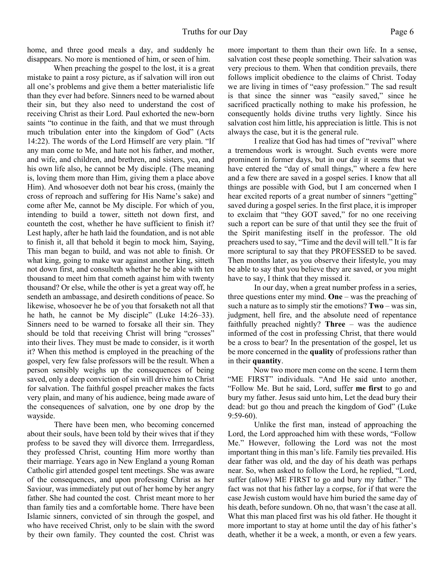home, and three good meals a day, and suddenly he disappears. No more is mentioned of him, or seen of him.

When preaching the gospel to the lost, it is a great mistake to paint a rosy picture, as if salvation will iron out all one's problems and give them a better materialistic life than they ever had before. Sinners need to be warned about their sin, but they also need to understand the cost of receiving Christ as their Lord. Paul exhorted the new-born saints "to continue in the faith, and that we must through much tribulation enter into the kingdom of God" (Acts 14:22). The words of the Lord Himself are very plain. "If any man come to Me, and hate not his father, and mother, and wife, and children, and brethren, and sisters, yea, and his own life also, he cannot be My disciple. (The meaning is, loving them more than Him, giving them a place above Him). And whosoever doth not bear his cross, (mainly the cross of reproach and suffering for His Name's sake) and come after Me, cannot be My disciple. For which of you, intending to build a tower, sitteth not down first, and counteth the cost, whether he have sufficient to finish it? Lest haply, after he hath laid the foundation, and is not able to finish it, all that behold it begin to mock him, Saying, This man began to build, and was not able to finish. Or what king, going to make war against another king, sitteth not down first, and consulteth whether he be able with ten thousand to meet him that cometh against him with twenty thousand? Or else, while the other is yet a great way off, he sendeth an ambassage, and desireth conditions of peace. So likewise, whosoever he be of you that forsaketh not all that he hath, he cannot be My disciple" (Luke 14:26–33). Sinners need to be warned to forsake all their sin. They should be told that receiving Christ will bring "crosses" into their lives. They must be made to consider, is it worth it? When this method is employed in the preaching of the gospel, very few false professors will be the result. When a person sensibly weighs up the consequences of being saved, only a deep conviction of sin will drive him to Christ for salvation. The faithful gospel preacher makes the facts very plain, and many of his audience, being made aware of the consequences of salvation, one by one drop by the wayside.

There have been men, who becoming concerned about their souls, have been told by their wives that if they profess to be saved they will divorce them. Irrregardless, they professed Christ, counting Him more worthy than their marriage. Years ago in New England a young Roman Catholic girl attended gospel tent meetings. She was aware of the consequences, and upon professing Christ as her Saviour, was immediately put out of her home by her angry father. She had counted the cost. Christ meant more to her than family ties and a comfortable home. There have been Islamic sinners, convicted of sin through the gospel, and who have received Christ, only to be slain with the sword by their own family. They counted the cost. Christ was more important to them than their own life. In a sense, salvation cost these people something. Their salvation was very precious to them. When that condition prevails, there follows implicit obedience to the claims of Christ. Today we are living in times of "easy profession." The sad result is that since the sinner was "easily saved," since he sacrificed practically nothing to make his profession, he consequently holds divine truths very lightly. Since his salvation cost him little, his appreciation is little. This is not always the case, but it is the general rule.

I realize that God has had times of "revival" where a tremendous work is wrought. Such events were more prominent in former days, but in our day it seems that we have entered the "day of small things," where a few here and a few there are saved in a gospel series. I know that all things are possible with God, but I am concerned when I hear excited reports of a great number of sinners "getting" saved during a gospel series. In the first place, it is improper to exclaim that "they GOT saved," for no one receiving such a report can be sure of that until they see the fruit of the Spirit manifesting itself in the professor. The old preachers used to say, "Time and the devil will tell." It is far more scriptural to say that they PROFESSED to be saved. Then months later, as you observe their lifestyle, you may be able to say that you believe they are saved, or you might have to say, I think that they missed it.

In our day, when a great number profess in a series, three questions enter my mind. **One** – was the preaching of such a nature as to simply stir the emotions? **Two** – was sin, judgment, hell fire, and the absolute need of repentance faithfully preached nightly? **Three** – was the audience informed of the cost in professing Christ, that there would be a cross to bear? In the presentation of the gospel, let us be more concerned in the **quality** of professions rather than in their **quantity**.

Now two more men come on the scene. I term them "ME FIRST" individuals. "And He said unto another, "Follow Me. But he said, Lord, suffer **me first** to go and bury my father. Jesus said unto him, Let the dead bury their dead: but go thou and preach the kingdom of God" (Luke 9:59-60).

Unlike the first man, instead of approaching the Lord, the Lord approached him with these words, "Follow Me." However, following the Lord was not the most important thing in this man's life. Family ties prevailed. His dear father was old, and the day of his death was perhaps near. So, when asked to follow the Lord, he replied, "Lord, suffer (allow) ME FIRST to go and bury my father." The fact was not that his father lay a corpse, for if that were the case Jewish custom would have him buried the same day of his death, before sundown. Oh no, that wasn't the case at all. What this man placed first was his old father. He thought it more important to stay at home until the day of his father's death, whether it be a week, a month, or even a few years.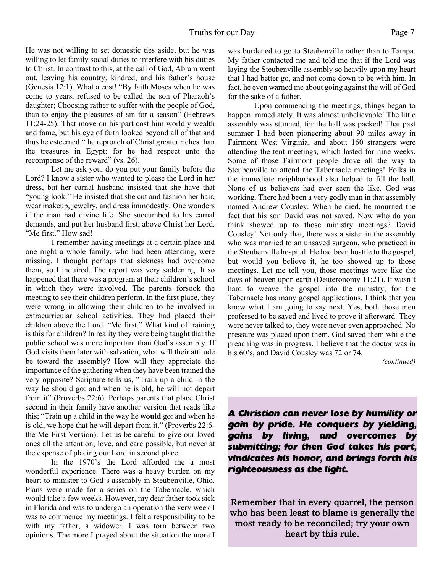He was not willing to set domestic ties aside, but he was willing to let family social duties to interfere with his duties to Christ. In contrast to this, at the call of God, Abram went out, leaving his country, kindred, and his father's house (Genesis 12:1). What a cost! "By faith Moses when he was come to years, refused to be called the son of Pharaoh's daughter; Choosing rather to suffer with the people of God, than to enjoy the pleasures of sin for a season" (Hebrews 11:24-25). That move on his part cost him worldly wealth and fame, but his eye of faith looked beyond all of that and thus he esteemed "the reproach of Christ greater riches than the treasures in Egypt: for he had respect unto the recompense of the reward" (vs. 26).

Let me ask you, do you put your family before the Lord? I know a sister who wanted to please the Lord in her dress, but her carnal husband insisted that she have that "young look." He insisted that she cut and fashion her hair, wear makeup, jewelry, and dress immodestly. One wonders if the man had divine life. She succumbed to his carnal demands, and put her husband first, above Christ her Lord. "Me first." How sad!

I remember having meetings at a certain place and one night a whole family, who had been attending, were missing. I thought perhaps that sickness had overcome them, so I inquired. The report was very saddening. It so happened that there was a program at their children's school in which they were involved. The parents forsook the meeting to see their children perform. In the first place, they were wrong in allowing their children to be involved in extracurricular school activities. They had placed their children above the Lord. "Me first." What kind of training is this for children? In reality they were being taught that the public school was more important than God's assembly. If God visits them later with salvation, what will their attitude be toward the assembly? How will they appreciate the importance of the gathering when they have been trained the very opposite? Scripture tells us, "Train up a child in the way he should go: and when he is old, he will not depart from it" (Proverbs 22:6). Perhaps parents that place Christ second in their family have another version that reads like this; "Train up a child in the way he **would** go: and when he is old, we hope that he will depart from it." (Proverbs 22:6 the Me First Version). Let us be careful to give our loved ones all the attention, love, and care possible, but never at the expense of placing our Lord in second place.

In the 1970's the Lord afforded me a most wonderful experience. There was a heavy burden on my heart to minister to God's assembly in Steubenville, Ohio. Plans were made for a series on the Tabernacle, which would take a few weeks. However, my dear father took sick in Florida and was to undergo an operation the very week I was to commence my meetings. I felt a responsibility to be with my father, a widower. I was torn between two opinions. The more I prayed about the situation the more I was burdened to go to Steubenville rather than to Tampa. My father contacted me and told me that if the Lord was laying the Steubenville assembly so heavily upon my heart that I had better go, and not come down to be with him. In fact, he even warned me about going against the will of God for the sake of a father.

Upon commencing the meetings, things began to happen immediately. It was almost unbelievable! The little assembly was stunned, for the hall was packed! That past summer I had been pioneering about 90 miles away in Fairmont West Virginia, and about 160 strangers were attending the tent meetings, which lasted for nine weeks. Some of those Fairmont people drove all the way to Steubenville to attend the Tabernacle meetings! Folks in the immediate neighborhood also helped to fill the hall. None of us believers had ever seen the like. God was working. There had been a very godly man in that assembly named Andrew Cousley. When he died, he mourned the fact that his son David was not saved. Now who do you think showed up to those ministry meetings? David Cousley! Not only that, there was a sister in the assembly who was married to an unsaved surgeon, who practiced in the Steubenville hospital. He had been hostile to the gospel, but would you believe it, he too showed up to those meetings. Let me tell you, those meetings were like the days of heaven upon earth (Deuteronomy 11:21). It wasn't hard to weave the gospel into the ministry, for the Tabernacle has many gospel applications. I think that you know what I am going to say next. Yes, both those men professed to be saved and lived to prove it afterward. They were never talked to, they were never even approached. No pressure was placed upon them. God saved them while the preaching was in progress. I believe that the doctor was in his 60's, and David Cousley was 72 or 74.

*(continued)*

*A Christian can never lose by humility or gain by pride. He conquers by yielding, gains by living, and overcomes by submitting; for then God takes his part, vindicates his honor, and brings forth his righteousness as the light.*

Remember that in every quarrel, the person who has been least to blame is generally the most ready to be reconciled; try your own heart by this rule.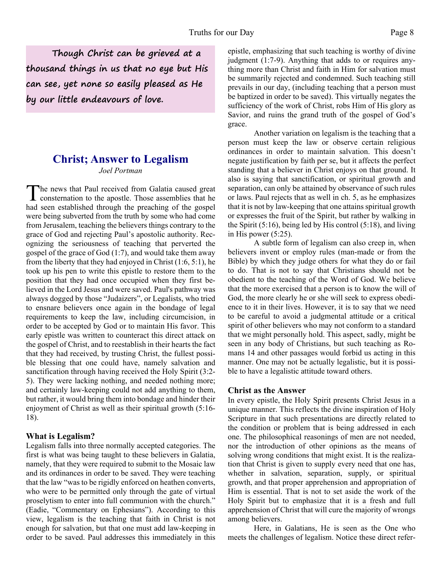**Though Christ can be grieved at a thousand things in us that no eye but His can see, yet none so easily pleased as He by our little endeavours of love.**

## **Christ; Answer to Legalism** *Joel Portman*

The news that Paul received from Galatia caused great consternation to the apostle. Those assemblies that he had seen established through the preaching of the gospel he news that Paul received from Galatia caused great consternation to the apostle. Those assemblies that he were being subverted from the truth by some who had come from Jerusalem, teaching the believers things contrary to the grace of God and rejecting Paul's apostolic authority. Recognizing the seriousness of teaching that perverted the gospel of the grace of God (1:7), and would take them away from the liberty that they had enjoyed in Christ (1:6, 5:1), he took up his pen to write this epistle to restore them to the position that they had once occupied when they first believed in the Lord Jesus and were saved. Paul's pathway was always dogged by those "Judaizers", or Legalists, who tried to ensnare believers once again in the bondage of legal requirements to keep the law, including circumcision, in order to be accepted by God or to maintain His favor. This early epistle was written to counteract this direct attack on the gospel of Christ, and to reestablish in their hearts the fact that they had received, by trusting Christ, the fullest possible blessing that one could have, namely salvation and sanctification through having received the Holy Spirit (3:2- 5). They were lacking nothing, and needed nothing more; and certainly law-keeping could not add anything to them, but rather, it would bring them into bondage and hinder their enjoyment of Christ as well as their spiritual growth (5:16- 18).

### **What is Legalism?**

Legalism falls into three normally accepted categories. The first is what was being taught to these believers in Galatia, namely, that they were required to submit to the Mosaic law and its ordinances in order to be saved. They were teaching that the law "was to be rigidly enforced on heathen converts, who were to be permitted only through the gate of virtual proselytism to enter into full communion with the church." (Eadie, "Commentary on Ephesians"). According to this view, legalism is the teaching that faith in Christ is not enough for salvation, but that one must add law-keeping in order to be saved. Paul addresses this immediately in this epistle, emphasizing that such teaching is worthy of divine judgment (1:7-9). Anything that adds to or requires anything more than Christ and faith in Him for salvation must be summarily rejected and condemned. Such teaching still prevails in our day, (including teaching that a person must be baptized in order to be saved). This virtually negates the sufficiency of the work of Christ, robs Him of His glory as Savior, and ruins the grand truth of the gospel of God's grace.

 Another variation on legalism is the teaching that a person must keep the law or observe certain religious ordinances in order to maintain salvation. This doesn't negate justification by faith per se, but it affects the perfect standing that a believer in Christ enjoys on that ground. It also is saying that sanctification, or spiritual growth and separation, can only be attained by observance of such rules or laws. Paul rejects that as well in ch. 5, as he emphasizes that it is not by law-keeping that one attains spiritual growth or expresses the fruit of the Spirit, but rather by walking in the Spirit (5:16), being led by His control (5:18), and living in His power (5:25).

 A subtle form of legalism can also creep in, when believers invent or employ rules (man-made or from the Bible) by which they judge others for what they do or fail to do. That is not to say that Christians should not be obedient to the teaching of the Word of God. We believe that the more exercised that a person is to know the will of God, the more clearly he or she will seek to express obedience to it in their lives. However, it is to say that we need to be careful to avoid a judgmental attitude or a critical spirit of other believers who may not conform to a standard that we might personally hold. This aspect, sadly, might be seen in any body of Christians, but such teaching as Romans 14 and other passages would forbid us acting in this manner. One may not be actually legalistic, but it is possible to have a legalistic attitude toward others.

### **Christ as the Answer**

In every epistle, the Holy Spirit presents Christ Jesus in a unique manner. This reflects the divine inspiration of Holy Scripture in that such presentations are directly related to the condition or problem that is being addressed in each one. The philosophical reasonings of men are not needed, nor the introduction of other opinions as the means of solving wrong conditions that might exist. It is the realization that Christ is given to supply every need that one has, whether in salvation, separation, supply, or spiritual growth, and that proper apprehension and appropriation of Him is essential. That is not to set aside the work of the Holy Spirit but to emphasize that it is a fresh and full apprehension of Christ that will cure the majority of wrongs among believers.

 Here, in Galatians, He is seen as the One who meets the challenges of legalism. Notice these direct refer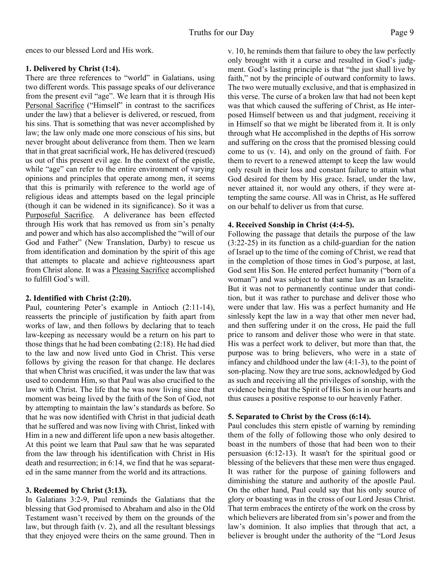ences to our blessed Lord and His work.

### **1. Delivered by Christ (1:4).**

There are three references to "world" in Galatians, using two different words. This passage speaks of our deliverance from the present evil "age". We learn that it is through His Personal Sacrifice ("Himself" in contrast to the sacrifices under the law) that a believer is delivered, or rescued, from his sins. That is something that was never accomplished by law; the law only made one more conscious of his sins, but never brought about deliverance from them. Then we learn that in that great sacrificial work, He has delivered (rescued) us out of this present evil age. In the context of the epistle, while "age" can refer to the entire environment of varying opinions and principles that operate among men, it seems that this is primarily with reference to the world age of religious ideas and attempts based on the legal principle (though it can be widened in its significance). So it was a Purposeful Sacrifice. A deliverance has been effected through His work that has removed us from sin's penalty and power and which has also accomplished the "will of our God and Father" (New Translation, Darby) to rescue us from identification and domination by the spirit of this age that attempts to placate and achieve righteousness apart from Christ alone. It was a Pleasing Sacrifice accomplished to fulfill God's will.

## **2. Identified with Christ (2:20).**

Paul, countering Peter's example in Antioch (2:11-14), reasserts the principle of justification by faith apart from works of law, and then follows by declaring that to teach law-keeping as necessary would be a return on his part to those things that he had been combating (2:18). He had died to the law and now lived unto God in Christ. This verse follows by giving the reason for that change. He declares that when Christ was crucified, it was under the law that was used to condemn Him, so that Paul was also crucified to the law with Christ. The life that he was now living since that moment was being lived by the faith of the Son of God, not by attempting to maintain the law's standards as before. So that he was now identified with Christ in that judicial death that he suffered and was now living with Christ, linked with Him in a new and different life upon a new basis altogether. At this point we learn that Paul saw that he was separated from the law through his identification with Christ in His death and resurrection; in 6:14, we find that he was separated in the same manner from the world and its attractions.

## **3. Redeemed by Christ (3:13).**

In Galatians 3:2-9, Paul reminds the Galatians that the blessing that God promised to Abraham and also in the Old Testament wasn't received by them on the grounds of the law, but through faith (v. 2), and all the resultant blessings that they enjoyed were theirs on the same ground. Then in v. 10, he reminds them that failure to obey the law perfectly only brought with it a curse and resulted in God's judgment. God's lasting principle is that "the just shall live by faith," not by the principle of outward conformity to laws. The two were mutually exclusive, and that is emphasized in this verse. The curse of a broken law that had not been kept was that which caused the suffering of Christ, as He interposed Himself between us and that judgment, receiving it in Himself so that we might be liberated from it. It is only through what He accomplished in the depths of His sorrow and suffering on the cross that the promised blessing could come to us (v. 14), and only on the ground of faith. For them to revert to a renewed attempt to keep the law would only result in their loss and constant failure to attain what God desired for them by His grace. Israel, under the law, never attained it, nor would any others, if they were attempting the same course. All was in Christ, as He suffered on our behalf to deliver us from that curse.

## **4. Received Sonship in Christ (4:4-5).**

Following the passage that details the purpose of the law (3:22-25) in its function as a child-guardian for the nation of Israel up to the time of the coming of Christ, we read that in the completion of those times in God's purpose, at last, God sent His Son. He entered perfect humanity ("born of a woman") and was subject to that same law as an Israelite. But it was not to permanently continue under that condition, but it was rather to purchase and deliver those who were under that law. His was a perfect humanity and He sinlessly kept the law in a way that other men never had, and then suffering under it on the cross, He paid the full price to ransom and deliver those who were in that state. His was a perfect work to deliver, but more than that, the purpose was to bring believers, who were in a state of infancy and childhood under the law (4:1-3), to the point of son-placing. Now they are true sons, acknowledged by God as such and receiving all the privileges of sonship, with the evidence being that the Spirit of His Son is in our hearts and thus causes a positive response to our heavenly Father.

## **5. Separated to Christ by the Cross (6:14).**

Paul concludes this stern epistle of warning by reminding them of the folly of following those who only desired to boast in the numbers of those that had been won to their persuasion (6:12-13). It wasn't for the spiritual good or blessing of the believers that these men were thus engaged. It was rather for the purpose of gaining followers and diminishing the stature and authority of the apostle Paul. On the other hand, Paul could say that his only source of glory or boasting was in the cross of our Lord Jesus Christ. That term embraces the entirety of the work on the cross by which believers are liberated from sin's power and from the law's dominion. It also implies that through that act, a believer is brought under the authority of the "Lord Jesus